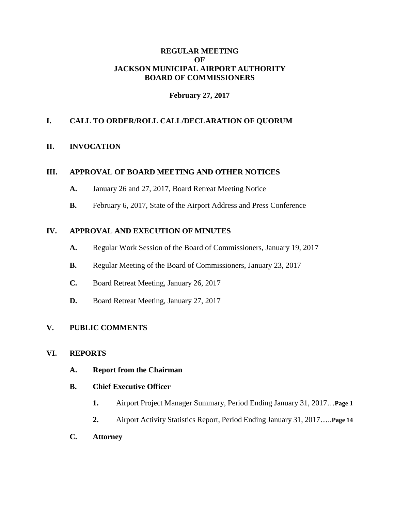### **REGULAR MEETING OF JACKSON MUNICIPAL AIRPORT AUTHORITY BOARD OF COMMISSIONERS**

## **February 27, 2017**

# **I. CALL TO ORDER/ROLL CALL/DECLARATION OF QUORUM**

#### **II. INVOCATION**

### **III. APPROVAL OF BOARD MEETING AND OTHER NOTICES**

- **A.** January 26 and 27, 2017, Board Retreat Meeting Notice
- **B.** February 6, 2017, State of the Airport Address and Press Conference

### **IV. APPROVAL AND EXECUTION OF MINUTES**

- **A.** Regular Work Session of the Board of Commissioners, January 19, 2017
- **B.** Regular Meeting of the Board of Commissioners, January 23, 2017
- **C.** Board Retreat Meeting, January 26, 2017
- **D.** Board Retreat Meeting, January 27, 2017

#### **V. PUBLIC COMMENTS**

#### **VI. REPORTS**

**A. Report from the Chairman**

#### **B. Chief Executive Officer**

- **1.** Airport Project Manager Summary, Period Ending January 31, 2017…**Page 1**
- **2.** Airport Activity Statistics Report, Period Ending January 31, 2017…..**Page 14**
- **C. Attorney**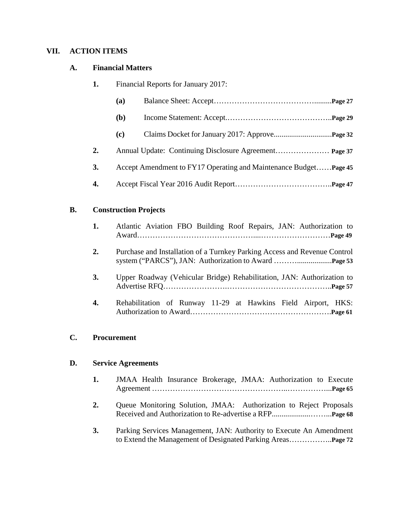# **VII. ACTION ITEMS**

# **A. Financial Matters**

| 1. | Financial Reports for January 2017: |                                                                   |  |
|----|-------------------------------------|-------------------------------------------------------------------|--|
|    | (a)                                 |                                                                   |  |
|    | <b>(b)</b>                          |                                                                   |  |
|    | (c)                                 |                                                                   |  |
| 2. |                                     |                                                                   |  |
| 3. |                                     | Accept Amendment to FY17 Operating and Maintenance Budget Page 45 |  |
| 4. |                                     |                                                                   |  |

## **B. Construction Projects**

| 1. | Atlantic Aviation FBO Building Roof Repairs, JAN: Authorization to        |
|----|---------------------------------------------------------------------------|
| 2. | Purchase and Installation of a Turnkey Parking Access and Revenue Control |
| 3. | Upper Roadway (Vehicular Bridge) Rehabilitation, JAN: Authorization to    |
| 4. | Rehabilitation of Runway 11-29 at Hawkins Field Airport, HKS:             |

# **C. Procurement**

# **D. Service Agreements**

| 1. | JMAA Health Insurance Brokerage, JMAA: Authorization to Execute     |
|----|---------------------------------------------------------------------|
| 2. | Queue Monitoring Solution, JMAA: Authorization to Reject Proposals  |
| 3. | Parking Services Management, JAN: Authority to Execute An Amendment |